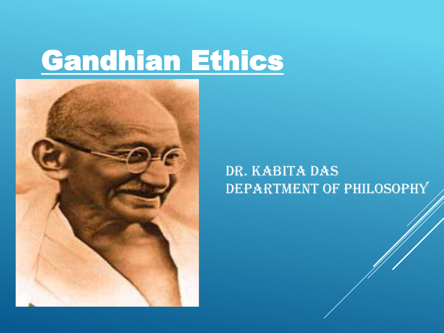# Gandhian Ethics



### Dr. Kabita Das DEPARTMENT OF PHILOSOPHY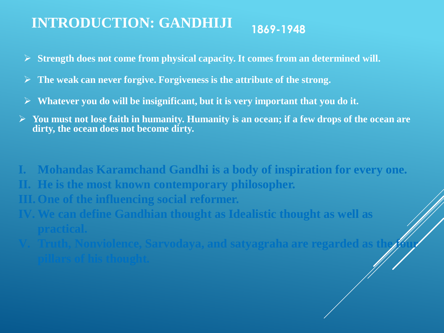#### **1869-1948 INTRODUCTION: GANDHIJI**

- **Strength does not come from physical capacity. It comes from an determined will.**
- **The weak can never forgive. Forgiveness is the attribute of the strong.**
- **Whatever you do will be insignificant, but it is very important that you do it.**
- **You must not lose faith in humanity. Humanity is an ocean; if a few drops of the ocean are dirty, the ocean does not become dirty.**
- **I. Mohandas Karamchand Gandhi is a body of inspiration for every one. II. He is the most known contemporary philosopher. III. One of the influencing social reformer. IV. We can define Gandhian thought as Idealistic thought as well as** 
	- **practical.**
- **Fig. 2.1. The Four- V.1. Independence only in a set of same is a standard as the four of**  $\mathbf{z}$  **and**  $\mathbf{z}$  **are independent as the four**  $\mathbf{z}$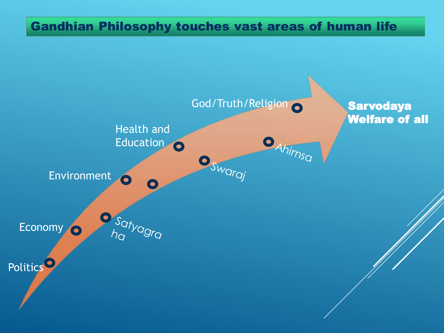#### Gandhian Philosophy touches vast areas of human life

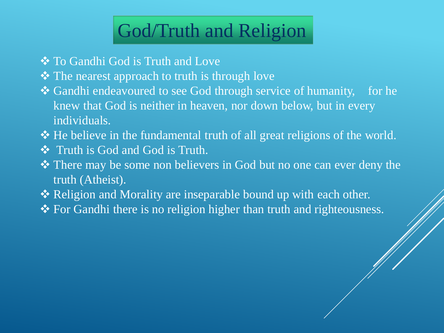### God/Truth and Religion

- To Gandhi God is Truth and Love
- $\triangle$  The nearest approach to truth is through love
- Gandhi endeavoured to see God through service of humanity, for he knew that God is neither in heaven, nor down below, but in every individuals.
- He believe in the fundamental truth of all great religions of the world.
- Truth is God and God is Truth.
- There may be some non believers in God but no one can ever deny the truth (Atheist).
- Religion and Morality are inseparable bound up with each other.
- ◆ For Gandhi there is no religion higher than truth and righteousness.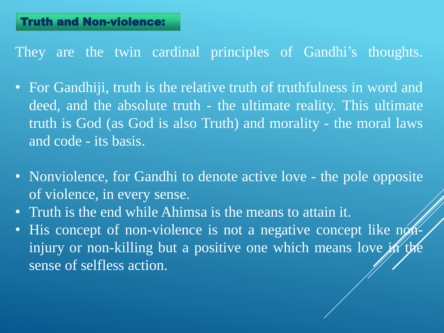They are the twin cardinal principles of Gandhi's thoughts.

- For Gandhiji, truth is the relative truth of truthfulness in word and deed, and the absolute truth - the ultimate reality. This ultimate truth is God (as God is also Truth) and morality - the moral laws and code - its basis.
- Nonviolence, for Gandhi to denote active love the pole opposite of violence, in every sense.
- Truth is the end while Ahimsa is the means to attain it.
- His concept of non-violence is not a negative concept like noninjury or non-killing but a positive one which means love in the sense of selfless action.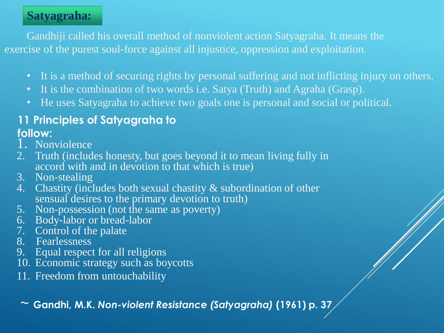#### **Satyagraha:**

Gandhiji called his overall method of nonviolent action Satyagraha. It means the exercise of the purest soul-force against all injustice, oppression and exploitation.

- It is a method of securing rights by personal suffering and not inflicting injury on others.
- It is the combination of two words i.e. Satya (Truth) and Agraha (Grasp).
- He uses Satyagraha to achieve two goals one is personal and social or political.

#### **11 Principles of Satyagraha to**

#### **follow:**

- 1. Nonviolence
- 2. Truth (includes honesty, but goes beyond it to mean living fully in accord with and in devotion to that which is true)
- 3. Non-stealing
- 4. Chastity (includes both sexual chastity & subordination of other sensual desires to the primary devotion to truth)
- 5. Non-possession (not the same as poverty)
- 6. Body-labor or bread-labor
- 7. Control of the palate
- 8. Fearlessness
- 9. Equal respect for all religions
- 10. Economic strategy such as boycotts
- 11. Freedom from untouchability

~ **Gandhi, M.K.** *Non-violent Resistance (Satyagraha)* **(1961) p. 37**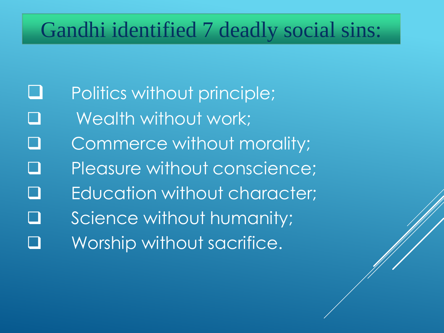### Gandhi identified 7 deadly social sins:

- **Q** Politics without principle;
- **Q** Wealth without work;
- Commerce without morality;
- Pleasure without conscience;
- Education without character;
- Science without humanity;
- Worship without sacrifice.